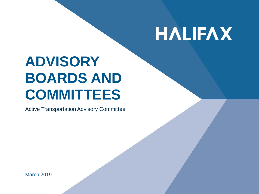# **HALIFAX**

## **ADVISORY BOARDS AND COMMITTEES**

Active Transportation Advisory Committee

March 2019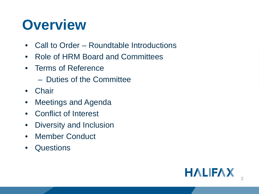### **Overview**

- Call to Order Roundtable Introductions
- Role of HRM Board and Committees
- Terms of Reference
	- Duties of the Committee
- Chair
- Meetings and Agenda
- Conflict of Interest
- Diversity and Inclusion
- Member Conduct
- Questions

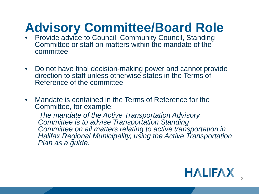### **Advisory Committee/Board Role**

- Provide advice to Council, Community Council, Standing Committee or staff on matters within the mandate of the committee
- Do not have final decision-making power and cannot provide direction to staff unless otherwise states in the Terms of Reference of the committee
- Mandate is contained in the Terms of Reference for the Committee, for example:

*The mandate of the Active Transportation Advisory Committee is to advise Transportation Standing*  **Committee on all matters relating to active transportation in** *Halifax Regional Municipality, using the Active Transportation Plan as a guide.*

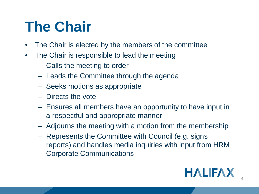# **The Chair**

- The Chair is elected by the members of the committee
- The Chair is responsible to lead the meeting
	- Calls the meeting to order
	- Leads the Committee through the agenda
	- Seeks motions as appropriate
	- Directs the vote
	- Ensures all members have an opportunity to have input in a respectful and appropriate manner
	- Adjourns the meeting with a motion from the membership
	- Represents the Committee with Council (e.g. signs reports) and handles media inquiries with input from HRM Corporate Communications

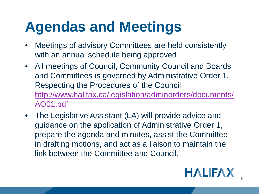# **Agendas and Meetings**

- Meetings of advisory Committees are held consistently with an annual schedule being approved
- All meetings of Council, Community Council and Boards and Committees is governed by Administrative Order 1, Respecting the Procedures of the Council [http://www.halifax.ca/legislation/adminorders/documents/](http://www.halifax.ca/legislation/adminorders/documents/AO01.pdf) AO01.pdf
- The Legislative Assistant (LA) will provide advice and guidance on the application of Administrative Order 1, prepare the agenda and minutes, assist the Committee in drafting motions, and act as a liaison to maintain the link between the Committee and Council.

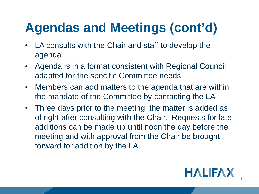- LA consults with the Chair and staff to develop the agenda
- Agenda is in a format consistent with Regional Council adapted for the specific Committee needs
- Members can add matters to the agenda that are within the mandate of the Committee by contacting the LA
- Three days prior to the meeting, the matter is added as of right after consulting with the Chair. Requests for late additions can be made up until noon the day before the meeting and with approval from the Chair be brought forward for addition by the LA

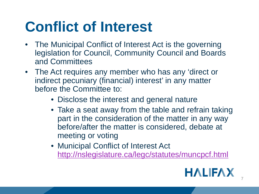# **Conflict of Interest**

- The Municipal Conflict of Interest Act is the governing legislation for Council, Community Council and Boards and Committees
- The Act requires any member who has any 'direct or indirect pecuniary (financial) interest' in any matter before the Committee to:
	- Disclose the interest and general nature
	- Take a seat away from the table and refrain taking part in the consideration of the matter in any way before/after the matter is considered, debate at meeting or voting
	- Municipal Conflict of Interest Act <http://nslegislature.ca/legc/statutes/muncpcf.html>

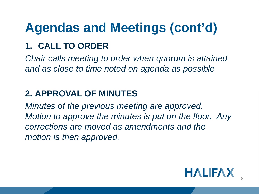#### **1. CALL TO ORDER**

*Chair calls meeting to order when quorum is attained and as close to time noted on agenda as possible*

#### **2. APPROVAL OF MINUTES**

*Minutes of the previous meeting are approved. Motion to approve the minutes is put on the floor. Any corrections are moved as amendments and the motion is then approved.*

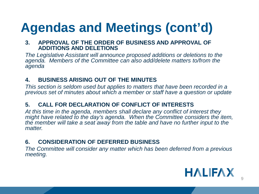#### **3. APPROVAL OF THE ORDER OF BUSINESS AND APPROVAL OF ADDITIONS AND DELETIONS**

*The Legislative Assistant will announce proposed additions or deletions to the agenda. Members of the Committee can also add/delete matters to/from the agenda*

#### **4. BUSINESS ARISING OUT OF THE MINUTES**

*This section is seldom used but applies to matters that have been recorded in a previous set of minutes about which a member or staff have a question or update* 

#### **5. CALL FOR DECLARATION OF CONFLICT OF INTERESTS**

*At this time in the agenda, members shall declare any conflict of interest they might have related to the day's agenda. When the Committee considers the item, the member will take a seat away from the table and have no further input to the matter.*

#### **6. CONSIDERATION OF DEFERRED BUSINESS**

*The Committee will consider any matter which has been deferred from a previous meeting.*

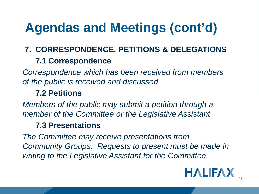#### **7. CORRESPONDENCE, PETITIONS & DELEGATIONS**

#### **7.1 Correspondence**

*Correspondence which has been received from members of the public is received and discussed* 

#### **7.2 Petitions**

*Members of the public may submit a petition through a member of the Committee or the Legislative Assistant*

#### **7.3 Presentations**

*The Committee may receive presentations from Community Groups. Requests to present must be made in writing to the Legislative Assistant for the Committee*

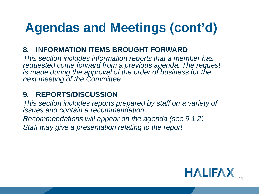#### **8. INFORMATION ITEMS BROUGHT FORWARD**

*This section includes information reports that a member has requested come forward from a previous agenda. The request is made during the approval of the order of business for the next meeting of the Committee.*

#### **9. REPORTS/DISCUSSION**

*This section includes reports prepared by staff on a variety of issues and contain a recommendation.* 

*Recommendations will appear on the agenda (see 9.1.2)*

*Staff may give a presentation relating to the report.* 

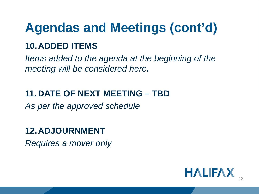#### **10.ADDED ITEMS**

*Items added to the agenda at the beginning of the meeting will be considered here***.**

#### **11. DATE OF NEXT MEETING – TBD**

*As per the approved schedule*

#### **12.ADJOURNMENT**

*Requires a mover only*

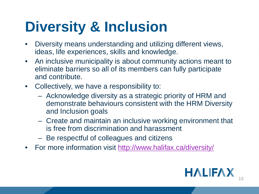# **Diversity & Inclusion**

- Diversity means understanding and utilizing different views, ideas, life experiences, skills and knowledge.
- An inclusive municipality is about community actions meant to eliminate barriers so all of its members can fully participate and contribute.
- Collectively, we have a responsibility to:
	- Acknowledge diversity as a strategic priority of HRM and demonstrate behaviours consistent with the HRM Diversity and Inclusion goals
	- Create and maintain an inclusive working environment that is free from discrimination and harassment
	- Be respectful of colleagues and citizens
- For more information visit <http://www.halifax.ca/diversity/>